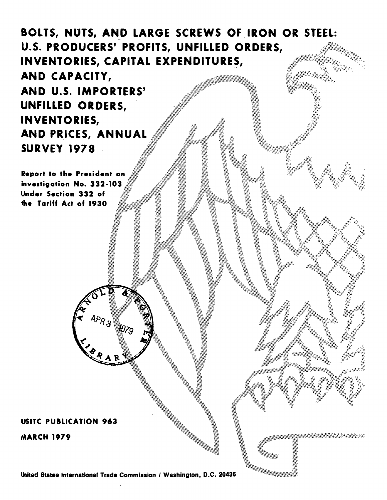BOLTS, NUTS, AND LARGE SCREWS OF IRON OR STEEL: U.S. PRODUCERS' PROFITS, UNFILLED ORDERS, INVENTORIES, CAPITAL EXPENDITURES, AND CAPACITY, AND U.S. IMPORTERS' UNFILLED. ORDERS, INVENTORIES, AND PRICES, ANNUAL SURVEY 1978 .

Report to the President on . investigation No. 332-103 Under Section 332 of the Tariff Act of 1930

USITC PUBLICATION 963

MARCH 1979

United States International Trade Commission / Washington, D.C. 20436

 $\frac{1}{2}$  APR 3 2079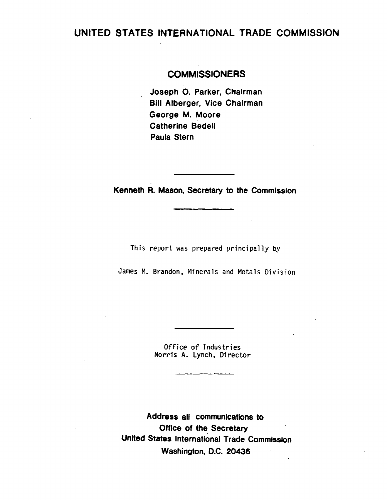# UNITED STATES INTERNATIONAL TRADE COMMISSION

## **COMMISSIONERS**

Joseph O. Parker, Chairman **Bill Alberger, Vice Chairman** George M. Moore Catherine Bedell Paula Stern

Kenneth R. Mason, Secretary to the Commission

This report was prepared principally by

James M. Brandon, Minerals and Metals Division

Office of Industries Norris A. Lynch, Director

Address all communications to Office of the Secretary United States International Trade Commission Washington, D.C. 20436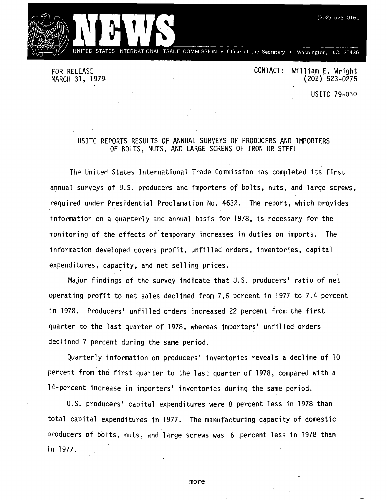

UNITED STATES INTERNATIONAL TRADE COMMISSION . Office of the Secretary . Washington, D.C. 20436

FOR RELEASE MARCH 31, 1979 CONTACT: William E. Wright (202) 523-0275

USITC 79-030

#### USITC REPORTS RESULTS OF ANNUAL SURVEYS OF PRODUCERS AND IMPORTERS OF BOLTS, NUTS, AND LARGE SCREWS OF IRON OR STEEL

The United States International Trade Commission has completed its first annual surveys of U.S. producers and importers of bolts, nuts, and large screws, required under Presidential Proclamation No. 4632. The report, which proyides information on a quarterly and annual basis for 1978, is necessary for the monitoring of the effects of temporary increases in duties on imports. The information developed covers profit, unfilled orders, inventories, capital expenditures, capacity, and net selling prices.

Major findings of the survey indicate that U.S. producers' ratio of net operating profit to net sales declined from 7.6 percent in 1977 to 7.4 percent in 1978. Producers' unfilled orders increased 22 percent from the first quarter to the last quarter of 1978, whereas importers' unfilled orders declined 7 percent during the same period.

Quarterly information on producers' inventories reveals a decline of 10 percent from the first quarter to the last quarter of 1978, compared with a 14-percent increase in importers' inventories during the same period.

U.S. producers' capital expenditures were 8 percent less in 1978 than total capital expenditures in 1977. The manufacturing capacity of domestic producers of bolts, nuts, and large screws was 6 percent less in 1978 than in 1977.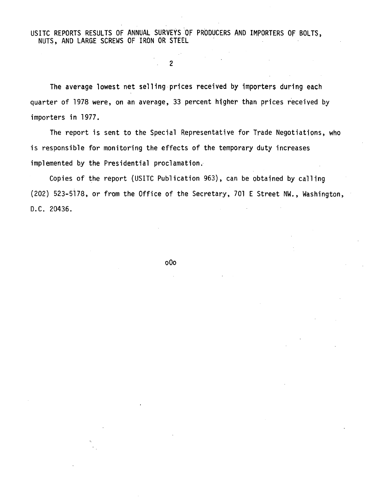USITC REPORTS RESULTS OF ANNUAL SURVEYS OF PRODUCERS AND IMPORTERS OF BOLTS, NUTS, AND LARGE SCREWS OF IRON OR STEEL

2

The average lowest net selling prices received by importers during each quarter of 1978 were, on an average, 33 percent higher than prices received by importers in 1977.

The report is sent to the Special Representative for Trade Negotiations, who is responsible for monitoring the effects of the temporary duty increases implemented by the Presidential proclamation.

Copies of the report (USITC Publication 963), can be obtained by calling (202) 523-5178, or from the Office of the Secretary, 701 E Street NW., Washington, D.C. 20436.

oOo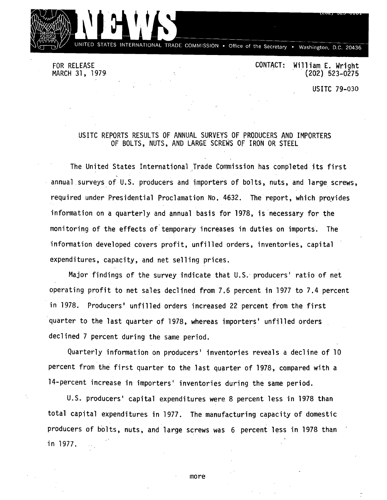

FOR RELEASE MARCH 31, 1979 CONTACT: William E. Wright (202) 523-0275

USITC 79-030

#### USITC REPORTS RESULTS OF ANNUAL SURVEYS OF PRODUCERS AND IMPORTERS OF BOLTS, NUTS, AND LARGE SCREWS OF IRON OR STEEL

The United States International Trade Commission has completed its first annual surveys of U.S. producers and importers of bolts, nuts, and large screws, required under Presidential Proclamation No. 4632. The report, which proyides information on a quarterly and annual basis for 1978, is necessary for the monitoring of the effects of temporary increases in duties on imports. The information developed covers profit, unfilled orders, inventories, capital expenditures, capacity, and net selling prices.

Major findings of the survey indicate that U.S.· producers' ratio of net operating profit to net sales declined from 7.6 percent in 1977 to 7.4 percent in 1978. Producers' unfilled orders increased 22 percent from the first quarter to the last quarter of 1978, whereas importers' unfilled orders declined 7 percent during the same period.

Quarterly information on producers' inventories reveals a decline of 10 percent from the first quarter to the last quarter of 1978, compared with a 14-percent increase in importers' inventories during the same period.

U.S. producers' capital expenditures were 8 percent less in 1978 than total capital expenditures in 1977. The manufacturing capacity of domestic producers of bolts, nuts, and large screws was 6 percent less in 1978 than in 1977.

more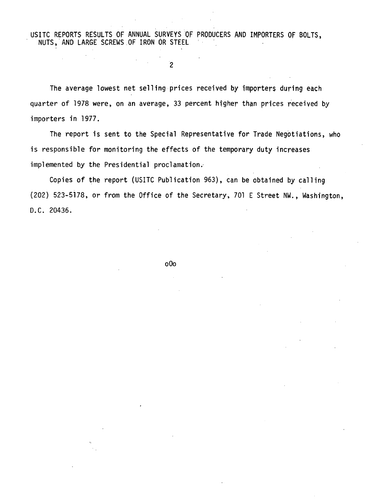USITC REPORTS RESULTS OF ANNUAL SURVEYS OF PRODUCERS AND IMPORTERS OF BOLTS, NUTS, AND LARGE SCREWS OF IRON OR STEEL

2

The average lowest net selling prices received by importers during each quarter of 1978 were, on an average, 33 percent higher than prices received by importers in 1977.

The report is sent to the Special Representative for Trade Negotiations, who is responsible for monitoring the effects of the temporary duty increases implemented by the Presidential proclamation.

Copies of the report (USITC Publication 963), can be obtained by calling (202) 523-5178, or from the Office of the Secretary, 701 E Street NW., Washington, D.C. 20436.

oOo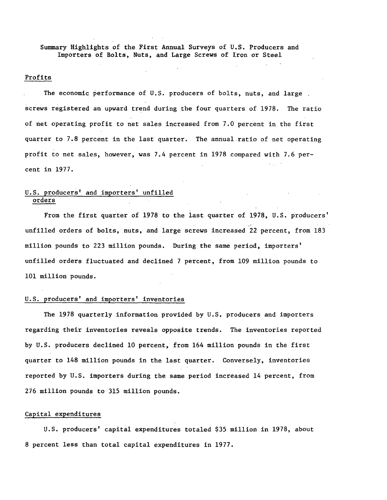Summary Highlights of the First Annual Surveys of U.S. Producers and Importers of Bolts, Nuts, and Large Screws of Iron or Steel

#### Profits

The economic performance of U.S. producers of bolts, nuts, and large . screws registered an upward trend during the four quarters of 1978. The ratio of net operating profit to net sales increased from 7.0 percent in the first quarter to 7.8 percent in the last quarter. The annual ratio of net operating profit to net sales, however, was 7.4 percent in 1978 compared with 7.6 percent in 1977.

#### U.S. producers' and importers' unfilled orders

From the first quarter of 1978 to the last quarter of 1978, U.S. producers' unfilled orders of bolts, nuts, and large screws increased 22 percent, from 183 million pounds to 223 million pounds. During the same period, importers' unfilled orders fluctuated and declined 7 percent, from 109 million pounds to 101 million pounds.

#### U.S. producers' and importers' inventories

The 1978 quarterly.information provided by U.S. producers and importers regarding their inventories reveals opposite trends. The inventories reported by U.S. producers declined 10 percent, from 164 million pounds in the first quarter to 148 million pounds in the last quarter. Conversely, inventories reported by U.S. importers during the same period increased 14 percent, from 276 million pounds to 315 million pounds.

#### Capital expenditures

U.S. producers' capital expenditures totaled \$35 million in 1978, about 8 percent less than total capital expenditures in 1977.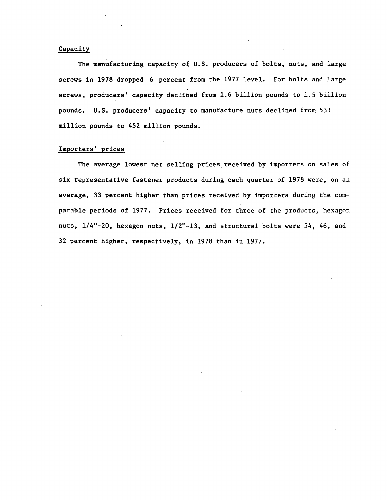#### Capacity

The manufacturing capacity of U.S. producers of bolts, nuts, and large screws in 1978 dropped 6 percent from the 1977 level. For bolts and large screws, producers' capacity declined from 1.6 billion pounds to 1.5 billion pounds. U.S. producers' capacity to manufacture nuts declined from 533 million pounds to 452 million pounds.

#### Importers' prices

The average lowest net selling prices received by importers on sales of six representative fastener products during each quarter of 1978 were, on an average, 33 percent higher than prices received by importers during the comparable periods of 1977. Prices received for three of the products, hexagon nuts, l/4"-20, hexagon nuts, l/2"-13, and structural bolts were 54, 46, and 32 percent higher, respectively, in 1978 than in 1977.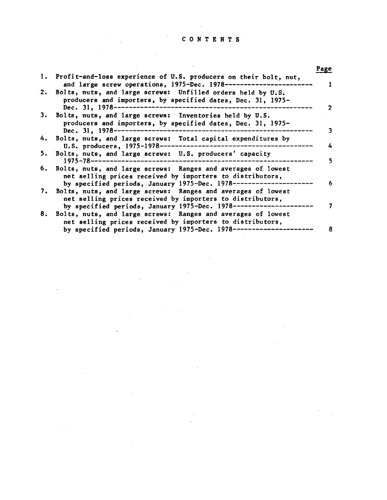# C O N T E N T S

|           | CONTENTS                                                                                                                                                   |                |
|-----------|------------------------------------------------------------------------------------------------------------------------------------------------------------|----------------|
|           |                                                                                                                                                            |                |
|           |                                                                                                                                                            | rage           |
| 1.        | Profit-and-loss experience of U.S. producers on their bolt, nut,<br>and large screw operations, 1975-Dec. 1978---------------                              | 1              |
| <b>2.</b> | Bolts, nuts, and large screws: Unfilled orders held by U.S.<br>producers and importers, by specified dates, Dec. 31, 1975-                                 |                |
|           | Dec. 31, 1978---------------------------                                                                                                                   | $\overline{2}$ |
| з.        | Bolts, nuts, and large screws: Inventories held by U.S.<br>producers and importers, by specified dates, Dec. 31, 1975-                                     | 3              |
| 4.        | Dec. 31, 1978 -----------------<br>Bolts, nuts, and large screws: Total capital expenditures by<br>U.S. producers, 1975-1978------------------------------ | 4              |
| 5.        | Bolts, nuts, and large screws: U.S. producers' capacity<br>1975-78-----------------------                                                                  | 5              |
| 6.        | Bolts, nuts, and large screws: Ranges and averages of lowest<br>net selling prices received by importers to distributors,                                  |                |
|           | by specified periods, January 1975-Dec. 1978---------------------                                                                                          | 6              |
| 7.        | Bolts, nuts, and large screws: Ranges and averages of lowest<br>net selling prices received by importers to distributors,                                  |                |
| 8.        | by specified periods, January 1975-Dec. 1978----------------------<br>Bolts, nuts, and large screws: Ranges and averages of lowest                         |                |
|           | net selling prices received by importers to distributors,<br>by specified periods, January 1975-Dec. 1978--------------                                    | 8              |
|           |                                                                                                                                                            |                |

 $\label{eq:2.1} \frac{1}{\sqrt{2}}\int_{\mathbb{R}^3}\frac{1}{\sqrt{2}}\left(\frac{1}{\sqrt{2}}\right)^2\frac{1}{\sqrt{2}}\left(\frac{1}{\sqrt{2}}\right)^2\frac{1}{\sqrt{2}}\left(\frac{1}{\sqrt{2}}\right)^2\frac{1}{\sqrt{2}}\left(\frac{1}{\sqrt{2}}\right)^2\frac{1}{\sqrt{2}}\left(\frac{1}{\sqrt{2}}\right)^2\frac{1}{\sqrt{2}}\frac{1}{\sqrt{2}}\frac{1}{\sqrt{2}}\frac{1}{\sqrt{2}}\frac{1}{\sqrt{2}}\frac{1}{\sqrt{2}}$ 

 $\mathcal{L}^{\text{max}}_{\text{max}}$  and  $\mathcal{L}^{\text{max}}_{\text{max}}$ 

 $\label{eq:2.1} \frac{1}{\sqrt{2}}\left(\frac{1}{\sqrt{2}}\right)^{2} \left(\frac{1}{\sqrt{2}}\right)^{2} \left(\frac{1}{\sqrt{2}}\right)^{2} \left(\frac{1}{\sqrt{2}}\right)^{2} \left(\frac{1}{\sqrt{2}}\right)^{2} \left(\frac{1}{\sqrt{2}}\right)^{2} \left(\frac{1}{\sqrt{2}}\right)^{2} \left(\frac{1}{\sqrt{2}}\right)^{2} \left(\frac{1}{\sqrt{2}}\right)^{2} \left(\frac{1}{\sqrt{2}}\right)^{2} \left(\frac{1}{\sqrt{2}}\right)^{2} \left(\$ 

 $\label{eq:2.1} \frac{1}{\sqrt{2}}\left(\frac{1}{\sqrt{2}}\right)^{2} \left(\frac{1}{\sqrt{2}}\right)^{2} \left(\frac{1}{\sqrt{2}}\right)^{2} \left(\frac{1}{\sqrt{2}}\right)^{2} \left(\frac{1}{\sqrt{2}}\right)^{2} \left(\frac{1}{\sqrt{2}}\right)^{2} \left(\frac{1}{\sqrt{2}}\right)^{2} \left(\frac{1}{\sqrt{2}}\right)^{2} \left(\frac{1}{\sqrt{2}}\right)^{2} \left(\frac{1}{\sqrt{2}}\right)^{2} \left(\frac{1}{\sqrt{2}}\right)^{2} \left(\$ 

 $\label{eq:2.1} \mathcal{L}(\mathcal{L}^{\text{max}}_{\mathcal{L}}(\mathcal{L}^{\text{max}}_{\mathcal{L}}),\mathcal{L}^{\text{max}}_{\mathcal{L}}(\mathcal{L}^{\text{max}}_{\mathcal{L}}))$ 

 $\mathcal{L}^{\text{max}}_{\text{max}}$  , where  $\mathcal{L}^{\text{max}}_{\text{max}}$ 

 $\mathcal{L}(\mathcal{A})$  and  $\mathcal{L}(\mathcal{A})$  .

#### $P<sub>000</sub>$

 $\label{eq:2.1} \frac{1}{\sqrt{2}}\int_{\mathbb{R}^3}\frac{1}{\sqrt{2}}\left(\frac{1}{\sqrt{2}}\right)^2\frac{1}{\sqrt{2}}\left(\frac{1}{\sqrt{2}}\right)^2\frac{1}{\sqrt{2}}\left(\frac{1}{\sqrt{2}}\right)^2\frac{1}{\sqrt{2}}\left(\frac{1}{\sqrt{2}}\right)^2.$ 

 $\label{eq:2.1} \frac{1}{\sqrt{2}}\int_{\mathbb{R}^3}\frac{1}{\sqrt{2}}\left(\frac{1}{\sqrt{2}}\right)^2\frac{1}{\sqrt{2}}\left(\frac{1}{\sqrt{2}}\right)^2\frac{1}{\sqrt{2}}\left(\frac{1}{\sqrt{2}}\right)^2\frac{1}{\sqrt{2}}\left(\frac{1}{\sqrt{2}}\right)^2.$ 

 $\label{eq:2.1} \frac{1}{\sqrt{2}}\int_{\mathbb{R}^3}\frac{1}{\sqrt{2}}\left(\frac{1}{\sqrt{2}}\right)^2\frac{1}{\sqrt{2}}\left(\frac{1}{\sqrt{2}}\right)^2\frac{1}{\sqrt{2}}\left(\frac{1}{\sqrt{2}}\right)^2\frac{1}{\sqrt{2}}\left(\frac{1}{\sqrt{2}}\right)^2.$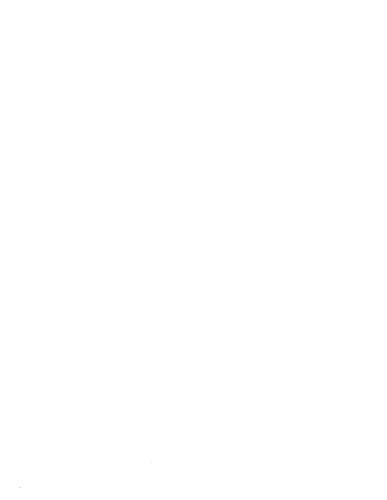$\mathcal{L}^{\text{max}}_{\text{max}}$  , where  $\mathcal{L}^{\text{max}}_{\text{max}}$ 

 $\lambda_{\rm{max}}$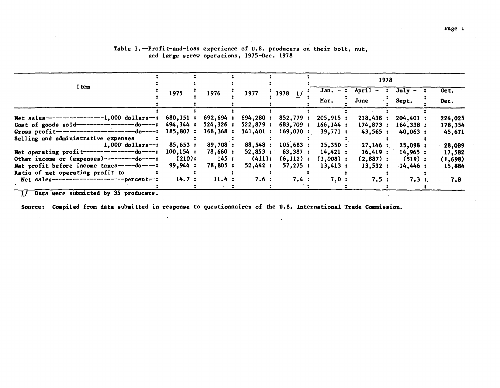|                                                          |           |           |           |           | 1978      |  |            |  |          |  |         |
|----------------------------------------------------------|-----------|-----------|-----------|-----------|-----------|--|------------|--|----------|--|---------|
| I tem                                                    | 1975      | 1976      | 1977      | $1978$ 1/ | $Jan. -$  |  | $April -$  |  | $July -$ |  | Oct.    |
|                                                          |           |           |           |           | Mar.      |  | June       |  | Sept.    |  | Dec.    |
|                                                          |           |           |           |           |           |  |            |  |          |  |         |
| Net sales-------------------1,000 dollars--: $680,151$ : |           | 692,694 : | 694,280 : | 852,779 : | 205,915:  |  | 218,438:   |  | 204,401: |  | 224,025 |
| Cost of goods sold------------------do----:              | 494,344 : | 524,326:  | 522,879:  | 683,709:  | 166, 144: |  | 174,873:   |  | 164.338: |  | 178,354 |
| Gross profit------------------------do----:              | 185,807:  | 168,368:  | 141,401:  | 169,070:  | 39.771:   |  | 43.565:    |  | 40,063:  |  | 45,671  |
| Selling and administrative expenses                      |           |           |           |           |           |  |            |  |          |  |         |
| $1.000$ dollars--:                                       | 85.653:   | 89,708:   | 88,548:   | 105,683:  | 25,350:   |  | $27,146$ : |  | 25,098:  |  | 28,089  |
| Net operating $profit-------------d0---$ :               | 100.154 : | 78,660:   | 52.853:   | 63.387:   | 14,421:   |  | 16,419:    |  | 14,965:  |  | 17,582  |
| Other income or (expenses)---------do-----:              | (210):    | 145:      | (411):    | (6,112):  | (1,008):  |  | (2.887):   |  | (519):   |  | (1,698) |
| Net profit before income taxes-----do----:               | 99,944:   | 78,805:   | 52,442:   | 57,275:   | 13,413:   |  | 13,532:    |  | 14,446:  |  | 15,884  |
| Ratio of net operating profit to                         |           |           |           |           |           |  |            |  |          |  |         |
| Net sales---------------------percent--:                 | 14.7:     | 11.4:     | 7.6:      | 7.4:      | 7.0 :     |  | 7.5:       |  | 7.3 :    |  | 7.8     |
|                                                          |           |           |           |           |           |  |            |  |          |  |         |

 $\mathcal{V}_\mathrm{F}$ 

#### Table 1.--Profit-and-loss experience of U.S. producers on their bolt, nut, and large screw operations, 1975-Dec. 1978

1/ Data were submitted by 35 producers.

Source: Compiled from data submitted in response to questionnaires of the U.S. International Trade Commission.

 $\hat{\boldsymbol{\epsilon}}$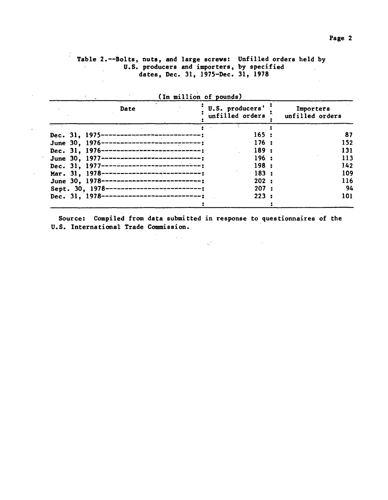#### Table 2.--Bolts, nuts, and large screws: Unfilled orders held by U.S. producers and importers, by specified dates, Dec. 31, 1975-Dec. 31, 1978  $\mathcal{L}_{\text{max}}$  $\mathcal{L}_{\text{max}}$  and  $\mathcal{L}_{\text{max}}$

| Date                                        | U.S. producers'<br>unfilled orders | Importers<br>unfilled orders |
|---------------------------------------------|------------------------------------|------------------------------|
| Dec. 31, 1975----------------------------   | 165:                               | 87                           |
| June 30, 1976---------------------------    | 176:                               | 152                          |
| Dec. 31, 1976------------------------------ | 189 :                              | 131                          |
| June 30, 1977-----------------------------  | 196:                               | 113                          |
| Dec. 31, 1977-----------------------------  | 198:                               | 142                          |
| Mar. 31, 1978-----------------------------  | 183:                               | 109                          |
| June 30, 1978-----------------------------  | 202:                               | 116                          |
| Sept. 30, 1978---------------------------   | 207:                               | 94                           |
| Dec. 31, 1978-----------------------------  | 223:                               | 101                          |
|                                             |                                    |                              |

Source: Compiled from data submitted in response to questionnaires of the U.S. International Trade Commission.

 $\label{eq:2.1} \frac{1}{2}\sum_{i=1}^n\frac{1}{2\pi\sqrt{2\pi}}\int_{\mathbb{R}^n}\frac{1}{2\pi\sqrt{2\pi}}\int_{\mathbb{R}^n}\frac{1}{2\pi\sqrt{2\pi}}\int_{\mathbb{R}^n}\frac{1}{2\pi\sqrt{2\pi}}\int_{\mathbb{R}^n}\frac{1}{2\pi\sqrt{2\pi}}\int_{\mathbb{R}^n}\frac{1}{2\pi\sqrt{2\pi}}\int_{\mathbb{R}^n}\frac{1}{2\pi\sqrt{2\pi}}\int_{\mathbb{R}^n}\frac{1}{2\pi\sqrt{2\pi$ 

 $\mathcal{L}(\mathcal{A})$ 

(In million of pounds)

 $\bar{\psi}$ 

 $\ddot{\phantom{a}}$ 

 $\sim$   $\sim$ 

 $\Delta \sim 10$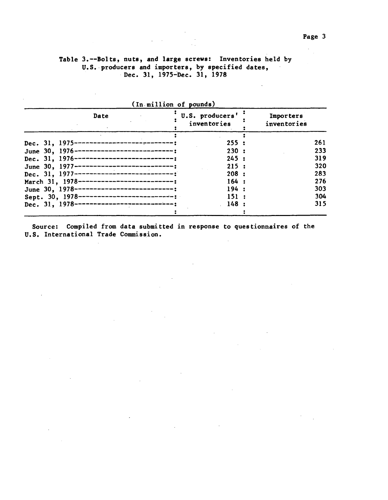$\mathcal{L}$ 

### Table 3.--Bolts, nuts, and large screws: Inventories held by U.S.-producers and importers, by specified dates,  $\cdot$  Dec. 31, 1975-Dec. 31, 1978

 $\mathcal{L}^{\text{max}}(\mathcal{L}^{\text{max}})$ 

 $\mathcal{L}$ 

| (In million of pounds)                                                                                                                                                                                                                                                                                                                                                       |                                                              |                                                      |
|------------------------------------------------------------------------------------------------------------------------------------------------------------------------------------------------------------------------------------------------------------------------------------------------------------------------------------------------------------------------------|--------------------------------------------------------------|------------------------------------------------------|
| Date                                                                                                                                                                                                                                                                                                                                                                         | U.S. producers'<br>inventories                               | Importers<br>inventories                             |
| Dec. 31, 1975------------------------------<br>June 30, 1976-----------------------------<br>Dec. 31, 1976------------------------------<br>June 30, 1977----------------------------<br>Dec. 31, 1977-----------------------------<br>March 31, 1978---------------------------<br>June 30, 1978-----------------------------<br>Sept. 30, 1978---------------------------- | 255:<br>230:<br>245:<br>215:<br>208:<br>164:<br>194:<br>151: | 261<br>233<br>319<br>320<br>283<br>276<br>303<br>304 |
| Dec. 31, 1978------------------------------                                                                                                                                                                                                                                                                                                                                  | 148:                                                         | 315                                                  |

Source: Compiled from data submitted in response to questionnaires of the U.S. International Trade Commission.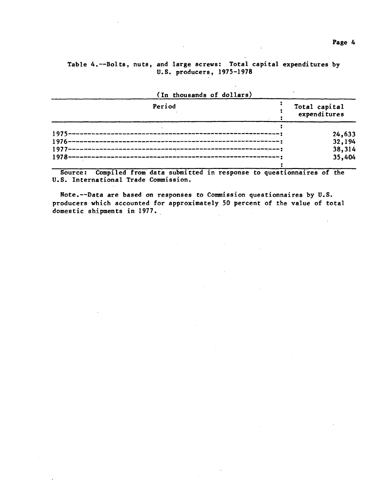#### Table 4.--Bolts, nuts, and large screws: Total capital expenditures by U.S. producers, 1975-1978

| (In thousands of dollars) |                               |
|---------------------------|-------------------------------|
| Period                    | Total capital<br>expenditures |
|                           |                               |
|                           | 24,633                        |
|                           | 32,194                        |
|                           | 38,314                        |
|                           | 35,404                        |

Source: Compiled from data submitted in response to questionnaires of the U.S. International Trade Commission.

Note.--Data are based on responses to Commission questionnaires by U.S. producers which accounted for approximately 50 percent of the value of total domestic shipments in 1977.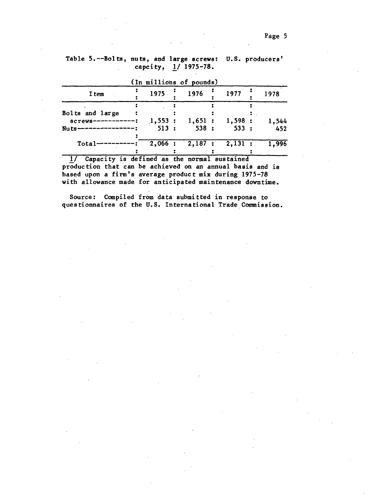| 1975                 | 1976                     | 1977                                                                                                                       | 1978                                        |
|----------------------|--------------------------|----------------------------------------------------------------------------------------------------------------------------|---------------------------------------------|
|                      |                          |                                                                                                                            |                                             |
|                      |                          |                                                                                                                            |                                             |
| $screws$ ----------- |                          |                                                                                                                            | 1,544                                       |
|                      |                          |                                                                                                                            | 452                                         |
|                      |                          |                                                                                                                            |                                             |
|                      |                          |                                                                                                                            |                                             |
|                      | 1,553:<br>513:<br>2,066: | (In millions of pounds)<br>1,651:<br>538:<br>$\cos\theta$ $\sin\theta$ $\cos\theta$ $\sin\theta$ $\sin\theta$ $\sin\theta$ | 1,598:<br>533:<br>$2,187$ : $2,131$ : 1,996 |

#### Table 5.--Bolts, nuts, and large screws: U.S. producers' capcity, 1/ 1975-78.

1/ Capacity is defined as the normal sustained production that can be achieved on an annual basis and is based upon a firm's average product mix during 1975-78 with allowance made for anticipated maintenance downtime.

Source: Compiled from data submitted in response to questionnaires of the U.S. International Trade.Commission.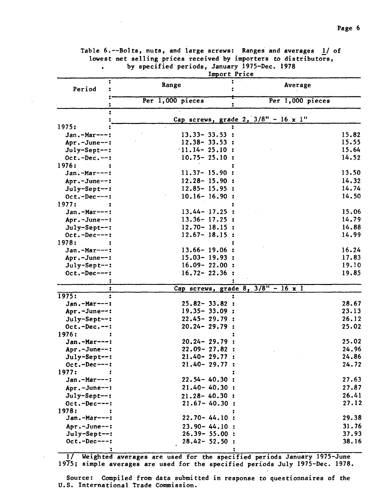| Import Price                   |                    |                                              |  |  |  |  |  |
|--------------------------------|--------------------|----------------------------------------------|--|--|--|--|--|
| Period<br>$\ddot{\phantom{a}}$ | Range              | Average                                      |  |  |  |  |  |
|                                | Per $1,000$ pieces | Per 1,000 pieces                             |  |  |  |  |  |
|                                |                    |                                              |  |  |  |  |  |
|                                |                    | Cap screws, grade 2, $3/8" - 16 \times 1"$   |  |  |  |  |  |
| 1975:                          |                    |                                              |  |  |  |  |  |
| $Jan.-Mar---:$                 | $13.33 - 33.53$ :  | 15.82                                        |  |  |  |  |  |
| Apr. - June--:                 | $12.38 - 33.53$ :  | 15.55                                        |  |  |  |  |  |
| July-Sept--:                   | $-11.14 - 25.10$ : | 15.64                                        |  |  |  |  |  |
| $0ct.-Dec.--:$                 | $10.75 - 25.10$ :  | 14.52                                        |  |  |  |  |  |
| 1976:                          |                    |                                              |  |  |  |  |  |
| Jan.-Mar---:                   | $11.37 - 15.90:$   | 13.50                                        |  |  |  |  |  |
| Apr.-June--:                   | $12.28 - 15.90$ :  | 14.32                                        |  |  |  |  |  |
| July-Sept--:                   | $12.85 - 15.95$ :  | 14.74                                        |  |  |  |  |  |
| $0ct.-Dec---:$                 | $10.16 - 16.90:$   | 14.50                                        |  |  |  |  |  |
| 1977:                          |                    |                                              |  |  |  |  |  |
| Jan.-Mar---:                   | $13.44 - 17.25$ :  | 15.06                                        |  |  |  |  |  |
| Apr.-June--:                   | $13.36 - 17.25$ :  | 14.79                                        |  |  |  |  |  |
| July-Sept--:                   | $12.70 - 18.15$ :  | 14.88                                        |  |  |  |  |  |
| $Oct.-Dec--:$                  | $12.67 - 18.15$ :  | 14.99                                        |  |  |  |  |  |
| 1978:                          |                    |                                              |  |  |  |  |  |
| $Jan.-Mar---:$                 | $13.66 - 19.06$ :  | 16.24                                        |  |  |  |  |  |
| Apr.-June--:                   | $15.03 - 19.93$ :  | 17.83                                        |  |  |  |  |  |
| July-Sept--:                   | $16.09 - 22.00$ :  | 19.10                                        |  |  |  |  |  |
| $0ct.-Dec---:$                 | $16.72 - 22.36$ :  | 19.85                                        |  |  |  |  |  |
| ፡<br>$\ddot{\bullet}$          |                    | Cap screws, grade $8$ , $3/8" - 16 \times 1$ |  |  |  |  |  |
| 1975:                          |                    |                                              |  |  |  |  |  |
| $Jan.-Mar---:$                 | $25.82 - 33.82$ :  | 28.67                                        |  |  |  |  |  |
| Apr.-June--:                   | $19.35 - 33.09:$   | 23.13                                        |  |  |  |  |  |
| July-Sept--:                   | $22.45 - 29.79$ :  | 26.12                                        |  |  |  |  |  |
| $0ct.-Dec. --:$                | $20.24 - 29.79:$   | 25.02                                        |  |  |  |  |  |
| 1976:                          |                    |                                              |  |  |  |  |  |
| $Jan.-Mar--:$                  | $20.24 - 29.79$ :  | 25.02                                        |  |  |  |  |  |
| Apr.-June--:                   | $22.09 - 27.82$ :  | 24.96                                        |  |  |  |  |  |
| July-Sept--:                   | $21.40 - 29.77:$   | 24.86                                        |  |  |  |  |  |
| $0ct.-Dec--:$                  | $21.40 - 29.77$ :  | 24.72                                        |  |  |  |  |  |
| 1977:                          |                    |                                              |  |  |  |  |  |
| Jan.-Mar---:                   | $22.54 - 40.30$ :  | 27.63                                        |  |  |  |  |  |
| Apr. - June--:                 | $21.40 - 40.30$ :  | 27.87                                        |  |  |  |  |  |
| July-Sept--:                   | $21.28 - 40.30$ :  | 26.41                                        |  |  |  |  |  |
| $Oct.-Dec--:$                  | $21.67 - 40.30$ :  | 27.12                                        |  |  |  |  |  |
| 1978:                          |                    |                                              |  |  |  |  |  |
| $Jan.-Mar---:$                 | $22.70 - 44.10:$   | 29.38                                        |  |  |  |  |  |
| Apr.-June--:                   | $23.90 - 44.10$ :  | 31.76                                        |  |  |  |  |  |
| July-Sept --:                  | $26.39 - 55.00$ :  | 37.93                                        |  |  |  |  |  |
| $0ct.-Dec---:$                 | $28.42 - 52.50$ :  | 38.16                                        |  |  |  |  |  |
|                                |                    |                                              |  |  |  |  |  |

Table 6.--Bolts, nuts, and large screws: Ranges and averages 1/ of lowest net selling prices received by importers to distributors, by specified periods, January 1975-Dec. 1978  $\blacktriangle$ 

1/ Weighted averages are used for the specified periods January 1975-June 1975; simple averages are used for the specified periods July 1975-Dec. 1978.

Source: Compiled from data submitted in response to questionnaires of the U.S. International Trade Commission.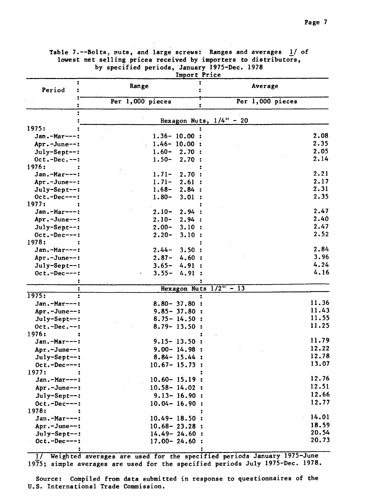| ٠.<br>Period<br>$\ddot{\phantom{a}}$ | Range              |                   |                           | Average |                    |       |
|--------------------------------------|--------------------|-------------------|---------------------------|---------|--------------------|-------|
|                                      | Per $1,000$ pieces |                   |                           |         | Per $1,000$ pieces |       |
|                                      |                    |                   |                           |         |                    |       |
|                                      |                    |                   |                           |         |                    |       |
| 1975:                                |                    |                   | Hexagon Nuts, $1/4" - 20$ |         |                    |       |
| $Jan.-Mar---:$                       |                    | $1.36 - 10.00$ :  |                           |         |                    | 2.08  |
| Apr.-June--:                         |                    | $1.46 - 10.00$ :  |                           |         |                    | 2.35  |
| July-Sept--:                         | $1.60 -$           | 2.70:             |                           |         |                    | 2.05  |
| $Oct.-Dec. --:$                      | $1.50 -$           | 2.70:             |                           |         |                    | 2.14  |
| 1976:                                |                    |                   |                           |         |                    |       |
| Jan.-Mar---:                         | $1.71-$            | 2.70:             |                           |         |                    | 2.21  |
| Apr.-June--:                         | $1.71-$            | 2.61:             |                           |         |                    | 2.17  |
| July-Sept--:                         | $1.68-$            | 2.84:             |                           |         |                    | 2.31  |
| $Oct.-Dec---:$                       | $1.80 -$           | 3.01:             |                           |         |                    | 2.35  |
| 1977:                                |                    |                   |                           |         |                    |       |
| Jan.-Mar---:                         | $2.10-$            | 2.94:             |                           |         |                    | 2.47  |
| Apr.-June--:                         | $2.10-$            | 2.94:             |                           |         |                    | 2.40  |
| July-Sept --:                        | $2.00 -$           | 3.10:             |                           |         |                    | 2.47  |
| $0ct.-Dec---:$                       | $2.20 -$           | 3.10:             |                           |         |                    | 2.52  |
| 1978:                                |                    |                   |                           |         |                    |       |
| Jan.-Mar---:                         | $2.44-$            | 3.50:             |                           |         |                    | 2.84  |
| Apr.-June--:                         | $2.87 -$           | 4.60:             |                           |         |                    | 3.96  |
| $July-September-:$                   | $3.65 -$           | 4.91:             |                           |         |                    | 4.24  |
|                                      | $3.55 -$           | 4.91:             |                           |         |                    | 4.16  |
| $0ct.-Dec---:$                       |                    |                   |                           |         |                    |       |
|                                      |                    |                   | Hexagon Nuts $1/2" - 13$  |         |                    |       |
| 1975:                                |                    |                   |                           |         |                    |       |
| Jan.-Mar---:                         |                    | $8.80 - 37.80$ :  |                           |         |                    | 11.36 |
| Apr.-June--:                         |                    | $9.85 - 37.80:$   |                           |         |                    | 11.43 |
| July-Sept--:                         |                    | $8.75 - 14.50:$   |                           |         |                    | 11.55 |
| $0ct.-Dec.--:$                       |                    | $8.79 - 13.50:$   |                           |         |                    | 11.25 |
| 1976:                                |                    |                   |                           |         |                    |       |
| Jan.-Mar---:                         |                    | $9.15 - 13.50$ :  |                           |         |                    | 11.79 |
| Apr.-June--:                         |                    | $9.00 - 14.98:$   |                           |         |                    | 12.22 |
| $July-September-:$                   |                    | $8.84 - 15.44$ :  |                           |         |                    | 12.78 |
| $0ct.-Dec---:$                       |                    | $10.67 - 15.73$ : |                           |         |                    | 13.07 |
| 1977:                                |                    |                   |                           |         |                    |       |
| Jan.-Mar---:                         |                    | $10.60 - 15.19$ : |                           |         |                    | 12.76 |
| Apr.-June--:                         |                    | $10.58 - 14.02$ : |                           |         |                    | 12.51 |
| July-Sept--:                         |                    | $9.13 - 16.90:$   |                           |         |                    | 12.66 |
| $Oct.-Dec---:$                       |                    |                   |                           |         |                    | 12.77 |
| 1978:                                |                    | $10.04 - 16.90:$  |                           |         |                    |       |
|                                      |                    |                   |                           |         |                    | 14.01 |
| Jan.-Mar---:                         |                    | $10.49 - 18.50$ : |                           |         |                    | 18.59 |
| Apr.-June--:                         |                    | $10.68 - 23.28$ : |                           |         |                    | 20.54 |
| $July-September:$<br>$Oct.-Dec--:$   |                    | $14.49 - 24.60$ : |                           |         |                    | 20.73 |
|                                      |                    | $17.00 - 24.60$ : |                           |         |                    |       |
|                                      |                    |                   |                           |         |                    |       |

 $\sim$   $\sim$ Table 7.--Bolts, nuts, and large screws: Ranges and averages  $1/$  of lowest net selling prices received by importers to distributors, by specified periods, January 1975-Dec. 1978

1/ Weighted averages are used for the specified periods January 1975-June 1975; simple averages are used for the specified periods July 1975-Dec. 1978.

Source: Compiled from data submitted in response to questionnaires of the U.S. International Trade Commission.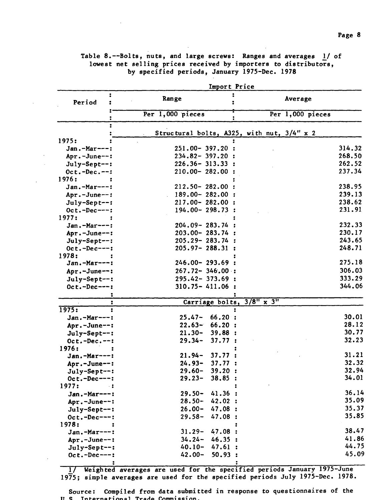|                                | Import Price         |  |                                            |        |  |  |  |
|--------------------------------|----------------------|--|--------------------------------------------|--------|--|--|--|
| Period                         | Range                |  | Average                                    |        |  |  |  |
|                                | Per 1,000 pieces     |  | Per 1,000 pieces                           |        |  |  |  |
|                                |                      |  | Structural bolts, A325, with nut, 3/4" x 2 |        |  |  |  |
| 1975:                          |                      |  |                                            |        |  |  |  |
| $Jan.-Mar---:$                 | $251.00 - 397.20$ :  |  |                                            | 314.32 |  |  |  |
| Apr.-June--:                   | $234.82 - 397.20$ :  |  |                                            | 268.50 |  |  |  |
| July-Sept--:                   | $226.36 - 313.33$ :  |  |                                            | 262.52 |  |  |  |
| $0ct.-Dec. --:$                | $210.00 - 282.00$    |  |                                            | 237.34 |  |  |  |
| 1976:                          |                      |  |                                            |        |  |  |  |
| $Jan.-Mar--:$                  | $212.50 - 282.00$    |  |                                            | 238.95 |  |  |  |
| Apr.-June--:                   | 189.00-282.00:       |  |                                            | 239.13 |  |  |  |
| July-Sept--:                   | $217.00 - 282.00$ :  |  |                                            | 238.62 |  |  |  |
| $Oct.-Dec--:$                  | 194.00-298.73:       |  |                                            | 231.91 |  |  |  |
| 1977:                          |                      |  |                                            |        |  |  |  |
| $Jan.-Mar---:$                 | $204.09 - 283.74$ :  |  |                                            | 232.33 |  |  |  |
| Apr. - June --:                | 203.00-283.74:       |  |                                            | 230.17 |  |  |  |
| July-Sept--:                   | $205.29 - 283.74$ :  |  |                                            | 243.65 |  |  |  |
| $0ct.-Dec---$ :                | $205.97 - 288.31$ :  |  |                                            | 248.71 |  |  |  |
| 1978:                          |                      |  |                                            |        |  |  |  |
| $Jan.-Mar---:$                 | $246.00 - 293.69$ :  |  |                                            | 275.18 |  |  |  |
| Apr.-June--:                   | $267.72 - 346.00$ :  |  |                                            | 306.03 |  |  |  |
| July-Sept--:                   | $295.42 - 373.69:$   |  |                                            | 333.29 |  |  |  |
| $0ct.-Dec---:$                 | $310.75 - 411.06$ :  |  |                                            | 344.06 |  |  |  |
|                                |                      |  |                                            |        |  |  |  |
| $\ddot{\bullet}$               | Carriage bolts,      |  | $3/8$ " x $3$ "                            |        |  |  |  |
| 1975:                          |                      |  |                                            |        |  |  |  |
| Jan.-Mar---:                   | $25.47 - 66.20$ :    |  |                                            | 30.01  |  |  |  |
| Apr.-June--:                   | $22.63 - 66.20$ :    |  |                                            | 28.12  |  |  |  |
| July-Sept--:                   | $21.30 - 39.88$ :    |  |                                            | 30.77  |  |  |  |
| $0ct.-Dec. --:$                | $29.34 -$<br>37.77:  |  |                                            | 32.23  |  |  |  |
| 1976:                          | 37.77:<br>$21.94-$   |  |                                            | 31.21  |  |  |  |
| Jan.-Mar---:                   | $24.93-$<br>37.77:   |  |                                            | 32.32  |  |  |  |
| Apr.-June--:                   | 39.20:<br>$29.60 -$  |  |                                            | 32.94  |  |  |  |
| July-Sept--:<br>$0ct.-Dec---:$ | $29.23 -$<br>38.85:  |  |                                            | 34.01  |  |  |  |
| 1977:                          |                      |  |                                            |        |  |  |  |
| Jan.-Mar---:                   | $29.50 -$<br>41.36:  |  |                                            | 36.14  |  |  |  |
| Apr. -June--:                  | $28.50 -$<br>42.02:  |  |                                            | 35.09  |  |  |  |
| July-Sept--:                   | $26.00 -$<br>47.08 : |  |                                            | 35.37  |  |  |  |
| $Oct.-Dec---:$                 | $29.58 -$<br>47.08 : |  |                                            | 35.85  |  |  |  |
| 1978:                          |                      |  |                                            |        |  |  |  |
| Jan.-Mar---:                   | $31.29 -$<br>47.08:  |  |                                            | 38.47  |  |  |  |
| Apr.-June--:                   | $34.24 -$<br>46.35:  |  |                                            | 41.86  |  |  |  |
| July-Sept--:                   | $40.10 -$<br>47.61 : |  |                                            | 44.75  |  |  |  |
| $0ct.-Dec---:$                 | $42.00 -$<br>50.93:  |  |                                            | 45.09  |  |  |  |
|                                |                      |  |                                            |        |  |  |  |

Table 8.--Bolts, nuts, and large screws: Ranges and averages 1/ of lowest net selling prices received by importers to distributors, by specified periods, January 1975-Dec. 1978

1/ Weighted averages are used for the specified periods January 1975-June 1975; simple averages are used for the specified periods July 1975-Dec. 1978.

Source: Compiled from data submitted in response to questionnaires of the  $II-S$  International Trade Commission.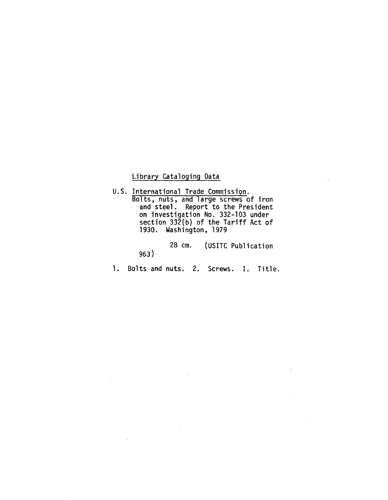Library cataloging Data

U.S. International Trade Commission. Bolts, nuts, and large screws of iron and steel. Report to the President on investigation No. 332-103 under section  $332(b)$  of the Tariff Act of 1930. Washington, 1979

> 28 cm. (USITC Publication 963)

 $\gamma_{\rm{in}}$ 

1. Bolts and nuts. 2. Screws. I. Title.

 $\sim$ 

 $\sim 10^{-10}$ 

 $\sim 10^{-1}$ 

 $\sim 10^{-11}$